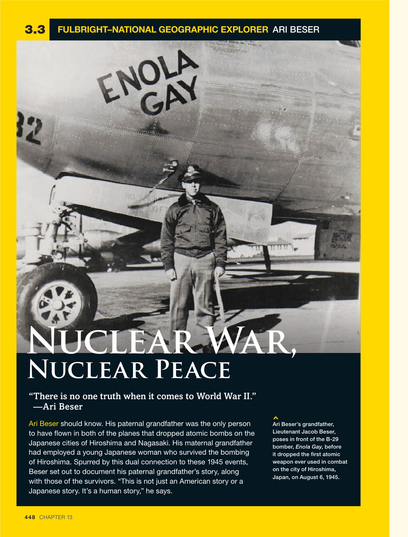## 3.3 FULBRIGHT–NATIONAL GEOGRAPHIC EXPLORER ARI BESER

**LP** 

# **Nuclear War, Nuclear Peace**

"There is no one truth when it comes to World War II." —Ari Beser

Ari Beser should know. His paternal grandfather was the only person to have flown in both of the planes that dropped atomic bombs on the Japanese cities of Hiroshima and Nagasaki. His maternal grandfather had employed a young Japanese woman who survived the bombing of Hiroshima. Spurred by this dual connection to these 1945 events, Beser set out to document his paternal grandfather's story, along with those of the survivors. "This is not just an American story or a Japanese story. It's a human story," he says.

^ Ari Beser's grandfather, Lieutenant Jacob Beser, poses in front of the B-29 bomber, *Enola Gay*, before it dropped the first atomic weapon ever used in combat on the city of Hiroshima, Japan, on August 6, 1945.